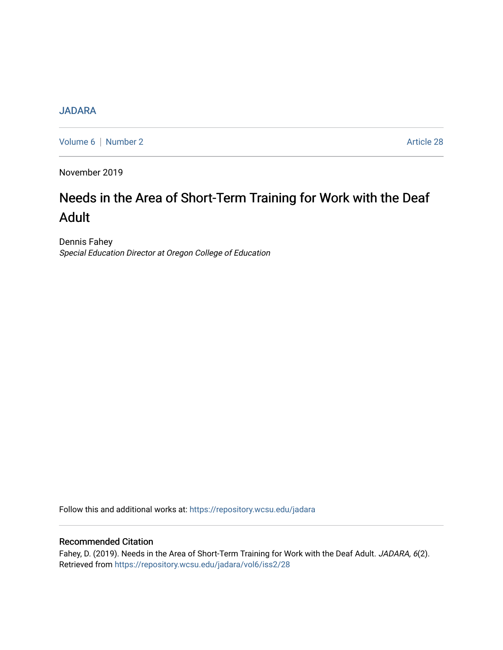## **[JADARA](https://repository.wcsu.edu/jadara)**

[Volume 6](https://repository.wcsu.edu/jadara/vol6) | [Number 2](https://repository.wcsu.edu/jadara/vol6/iss2) Article 28

November 2019

# Needs in the Area of Short-Term Training for Work with the Deaf Adult

Dennis Fahey Special Education Director at Oregon College of Education

Follow this and additional works at: [https://repository.wcsu.edu/jadara](https://repository.wcsu.edu/jadara?utm_source=repository.wcsu.edu%2Fjadara%2Fvol6%2Fiss2%2F28&utm_medium=PDF&utm_campaign=PDFCoverPages)

### Recommended Citation

Fahey, D. (2019). Needs in the Area of Short-Term Training for Work with the Deaf Adult. JADARA, 6(2). Retrieved from [https://repository.wcsu.edu/jadara/vol6/iss2/28](https://repository.wcsu.edu/jadara/vol6/iss2/28?utm_source=repository.wcsu.edu%2Fjadara%2Fvol6%2Fiss2%2F28&utm_medium=PDF&utm_campaign=PDFCoverPages)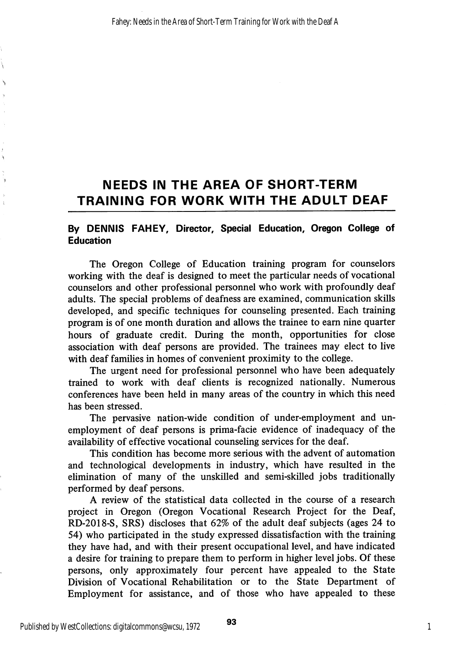# NEEDS IN THE AREA OF SHORT-TERM TRAINING FOR WORK WITH THE ADULT DEAF

#### By DENNIS FAHEY, Director, Special Education, Oregon College of Education

The Oregon College of Education training program for counselors working with the deaf is designed to meet the particular needs of vocational counselors and other professional personnel who work with profoundly deaf adults. The special problems of deafness are examined, communication skills developed, and specific techniques for counseling presented. Each training program is of one month duration and allows the trainee to earn nine quarter hours of graduate credit. During the month, opportunities for close association with deaf persons are provided. The trainees may elect to live with deaf families in homes of convenient proximity to the college.

The urgent need for professional personnel who have been adequately trained to work with deaf clients is recognized nationally. Numerous conferences have been held in many areas of the country in which this need has been stressed.

The pervasive nation-wide condition of under-employment and un employment of deaf persons is prima-facie evidence of inadequacy of the availability of effective vocational counseling services for the deaf.

This condition has become more serious with the advent of automation and technological developments in industry, which have resulted in the elimination of many of the unskilled and semi-skilled jobs traditionally performed by deaf persons.

A review of the statistical data collected in the course of a research project in Oregon (Oregon Vocational Research Project for the Deaf, RD-2018-S, SRS) discloses that 62% of the adult deaf subjects (ages 24 to 54) who participated in the study expressed dissatisfaction with the training they have had, and with their present occupational level, and have indicated a desire for training to prepare them to perform in higher level jobs. Of these persons, only approximately four percent have appealed to the State Division of Vocational Rehabilitation or to the State Department of Employment for assistance, and of those who have appealed to these

Ï

Ñ

٠,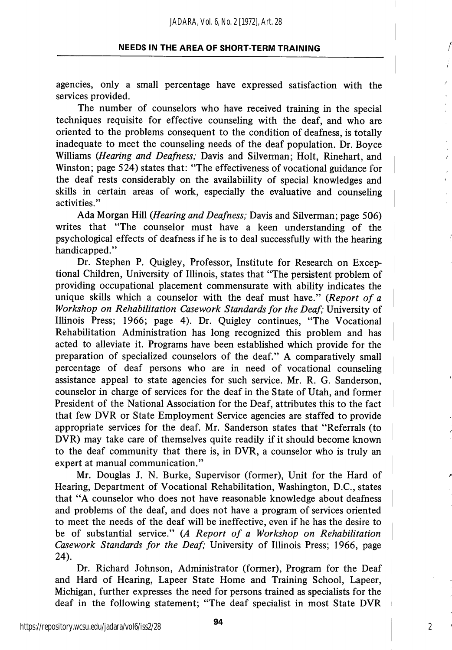agencies, only a small percentage have expressed satisfaction with the services provided.

The number of counselors who have received training in the special techniques requisite for effective counseling with the deaf, and who are oriented to the problems consequent to the condition of deafness, is totally inadequate to meet the counseling needs of the deaf population. Dr. Boyce Williams (Hearing and Deafness; Davis and Silverman; Holt, Rinehart, and Winston; page 524) states that; "The effectiveness of vocational guidance for the deaf rests considerably on the availabiility of special knowledges and skills in certain areas of work, especially the evaluative and counseling activities."

Ada Morgan Hill {Hearing and Deafness; Davis and Silverman; page 506) writes that "The counselor must have a keen understanding of the psychological effects of deafness if he is to deal successfully with the hearing handicapped."

Dr. Stephen P. Quigley, Professor, Institute for Research on Excep tional Children, University of Illinois, states that "The persistent problem of providing occupational placement commensurate with ability indicates the unique skills which a counselor with the deaf must have." (Report of a Workshop on Rehabilitation Casework Standards for the Deaf; University of Illinois Press; 1966; page 4). Dr. Quigley continues, "The Vocational Rehabilitation Administration has long recognized this problem and has acted to alleviate it. Programs have been established which provide for the preparation of specialized counselors of the deaf." A comparatively small percentage of deaf persons who are in need of vocational counseling assistance appeal to state agencies for such service. Mr. R. G. Sanderson, counselor in charge of services for the deaf in the State of Utah, and former President of the National Association for the Deaf, attributes this to the fact that few DVR or State Employment Service agencies are staffed to provide appropriate services for the deaf. Mr. Sanderson states that "Referrals (to DVR) may take care of themselves quite readily if it should become known to the deaf community that there is, in DVR, a counselor who is truly an expert at manual communication."

Mr. Douglas J. N. Burke, Supervisor (former). Unit for the Hard of Hearing, Department of Vocational Rehabilitation, Washington, D.C., states that "A counselor who does not have reasonable knowledge about deafness and problems of the deaf, and does not have a program of services oriented to meet the needs of the deaf will be ineffective, even if he has the desire to be of substantial service." (A Report of a Workshop on Rehabilitation Casework Standards for the Deaf; University of Illinois Press; 1966, page 24).

Dr. Richard Johnson, Administrator (former). Program for the Deaf and Hard of Hearing, Lapeer State Home and Training School, Lapeer, Michigan, further expresses the need for persons trained as specialists for the deaf in the following statement; "The deaf specialist in most State DVR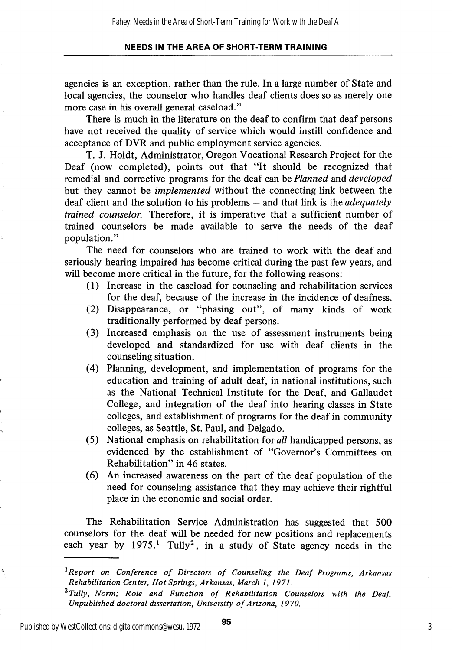agencies is an exception, rather than the rule. In a large number of State and local agencies, the counselor who handles deaf clients does so as merely one more case in his overall general caseload."

There is much in the literature on the deaf to confirm that deaf persons have not received the quality of service which would instill confidence and acceptance of DVR and public employment service agencies.

T. J. Holdt, Administrator, Oregon Vocational Research Project for the Deaf (now completed), points out that "It should be recognized that remedial and corrective programs for the deaf can be Planned and developed but they cannot be implemented without the connecting link between the deaf client and the solution to his problems  $-$  and that link is the *adequately* trained counselor. Therefore, it is imperative that a sufficient number of trained counselors be made available to serve the needs of the deaf population."

The need for counselors who are trained to work with the deaf and seriously hearing impaired has become critical during the past few years, and will become more critical in the future, for the following reasons:

- (1) Increase in the caseload for counseling and rehabilitation services for the deaf, because of the increase in the incidence of deafness.
- (2) Disappearance, or "phasing out", of many kinds of work traditionally performed by deaf persons.
- (3) Increased emphasis on the use of assessment instruments being developed and standardized for use with deaf clients in the counseling situation.
- (4) Planning, development, and implementation of programs for the education and training of adult deaf, in national institutions, such as the National Technical Institute for the Deaf, and Gallaudet College, and integration of the deaf into hearing classes in State colleges, and establishment of programs for the deaf in community colleges, as Seattle, St. Paul, and Delgado.
- (5) National emphasis on rehabilitation for all handicapped persons, as evidenced by the establishment of "Governor's Committees on Rehabilitation" in 46 states.
- (6) An increased awareness on the part of the deaf population of the need for counseling assistance that they may achieve their rightful place in the economic and social order.

The Rehabilitation Service Administration has suggested that 500 counselors for the deaf will be needed for new positions and replacements each year by 1975.<sup>1</sup> Tully<sup>2</sup>, in a study of State agency needs in the

Published by WestCollections: digitalcommons@wcsu, 1972

Ś,

 $\overline{95}$  3

 $^1$ Report on Conference of Directors of Counseling the Deaf Programs, Arkansas Rehabilitation Center, Hot Springs, Arkansas, March 1, 1971.

 $^{2}$ Tully, Norm; Role and Function of Rehabilitation Counselors with the Deaf. Unpublished doctoral dissertation. University of Arizona, 1970.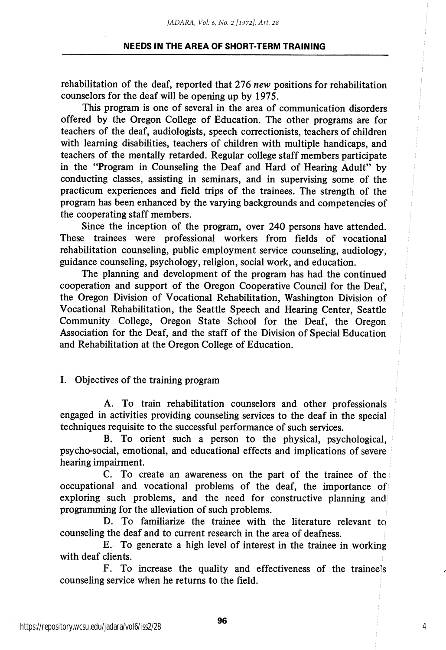rehabilitation of the deaf, reported that 276 new positions for rehabilitation counselors for the deaf will be opening up by 1975.

This program is one of several in the area of communication disorders offered by the Oregon College of Education. The other programs are for teachers of the deaf, audiologists, speech correctionists, teachers of children with learning disabilities, teachers of children with multiple handicaps, and teachers of the mentally retarded. Regular college staff members participate in the "Program in Counseling the Deaf and Hard of Hearing Adult" by conducting classes, assisting in seminars, and in supervising some of the practicum experiences and field trips of the trainees. The strength of the program has been enhanced by the varying backgrounds and competencies of the cooperating staff members.

Since the inception of the program, over 240 persons have attended. These trainees were professional workers from fields of vocational rehabilitation counseling, public employment service counseling, audiology, guidance counseling, psychology, religion, social work, and education.

The planning and development of the program has had the continued cooperation and support of the Oregon Cooperative Council for the Deaf, the Oregon Division of Vocational Rehabilitation, Washington Division of Vocational Rehabilitation, the Seattle Speech and Hearing Center, Seattle Community College, Oregon State School for the Deaf, the Oregon Association for the Deaf, and the staff of the Division of Special Education and Rehabilitation at the Oregon College of Education.

#### I. Objectives of the training program

A. To train rehabilitation counselors and other professionals engaged in activities providing counseling services to the deaf in the special techniques requisite to the successful performance of such services.

B. To orient such a person to the physical, psychological, psycho-social, emotional, and educational effects and implications of severe hearing impairment.

C. To create an awareness on the part of the trainee of the occupational and vocational problems of the deaf, the importance of exploring such problems, and the need for constructive planning and programming for the alleviation of such problems.

D. To familiarize the trainee with the literature relevant to counseling the deaf and to current research in the area of deafness.

E. To generate a high level of interest in the trainee in working with deaf clients.

F. To increase the quality and effectiveness of the traineels counseling service when he returns to the field.

4